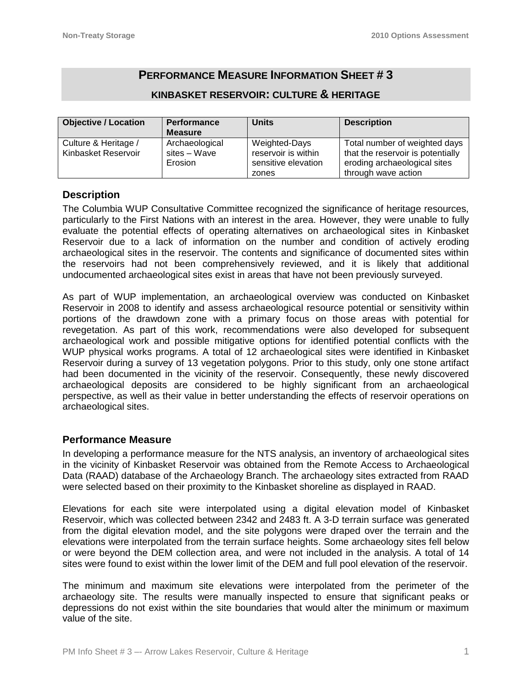# **PERFORMANCE MEASURE INFORMATION SHEET # 3**

## **KINBASKET RESERVOIR: CULTURE & HERITAGE**

| <b>Objective / Location</b> | <b>Performance</b> | <b>Units</b>        | <b>Description</b>                |
|-----------------------------|--------------------|---------------------|-----------------------------------|
|                             | <b>Measure</b>     |                     |                                   |
| Culture & Heritage /        | Archaeological     | Weighted-Days       | Total number of weighted days     |
| Kinbasket Reservoir         | sites - Wave       | reservoir is within | that the reservoir is potentially |
|                             | Erosion            | sensitive elevation | eroding archaeological sites      |
|                             |                    | zones               | through wave action               |

## **Description**

The Columbia WUP Consultative Committee recognized the significance of heritage resources, particularly to the First Nations with an interest in the area. However, they were unable to fully evaluate the potential effects of operating alternatives on archaeological sites in Kinbasket Reservoir due to a lack of information on the number and condition of actively eroding archaeological sites in the reservoir. The contents and significance of documented sites within the reservoirs had not been comprehensively reviewed, and it is likely that additional undocumented archaeological sites exist in areas that have not been previously surveyed.

As part of WUP implementation, an archaeological overview was conducted on Kinbasket Reservoir in 2008 to identify and assess archaeological resource potential or sensitivity within portions of the drawdown zone with a primary focus on those areas with potential for revegetation. As part of this work, recommendations were also developed for subsequent archaeological work and possible mitigative options for identified potential conflicts with the WUP physical works programs. A total of 12 archaeological sites were identified in Kinbasket Reservoir during a survey of 13 vegetation polygons. Prior to this study, only one stone artifact had been documented in the vicinity of the reservoir. Consequently, these newly discovered archaeological deposits are considered to be highly significant from an archaeological perspective, as well as their value in better understanding the effects of reservoir operations on archaeological sites.

## **Performance Measure**

In developing a performance measure for the NTS analysis, an inventory of archaeological sites in the vicinity of Kinbasket Reservoir was obtained from the Remote Access to Archaeological Data (RAAD) database of the Archaeology Branch. The archaeology sites extracted from RAAD were selected based on their proximity to the Kinbasket shoreline as displayed in RAAD.

Elevations for each site were interpolated using a digital elevation model of Kinbasket Reservoir, which was collected between 2342 and 2483 ft. A 3-D terrain surface was generated from the digital elevation model, and the site polygons were draped over the terrain and the elevations were interpolated from the terrain surface heights. Some archaeology sites fell below or were beyond the DEM collection area, and were not included in the analysis. A total of 14 sites were found to exist within the lower limit of the DEM and full pool elevation of the reservoir.

The minimum and maximum site elevations were interpolated from the perimeter of the archaeology site. The results were manually inspected to ensure that significant peaks or depressions do not exist within the site boundaries that would alter the minimum or maximum value of the site.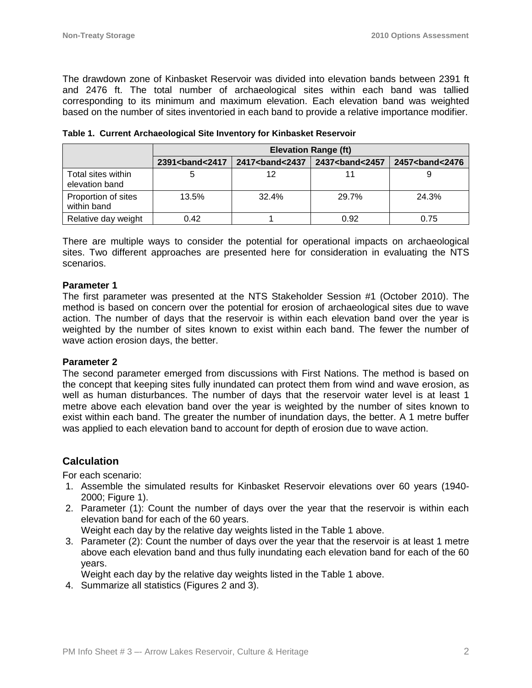The drawdown zone of Kinbasket Reservoir was divided into elevation bands between 2391 ft and 2476 ft. The total number of archaeological sites within each band was tallied corresponding to its minimum and maximum elevation. Each elevation band was weighted based on the number of sites inventoried in each band to provide a relative importance modifier.

|                                      | <b>Elevation Range (ft)</b>  |                   |                              |                               |  |
|--------------------------------------|------------------------------|-------------------|------------------------------|-------------------------------|--|
|                                      | 2391<br><b>contract 2417</b> | 2417<br>band<2437 | 2437<br><b>contract 2457</b> | 2457<br><b>2457<br/> 2476</b> |  |
| Total sites within<br>elevation band |                              | 12                |                              |                               |  |
| Proportion of sites<br>within band   | 13.5%                        | 32.4%             | 29.7%                        | 24.3%                         |  |
| Relative day weight                  | 0.42                         |                   | 0.92                         | 0.75                          |  |

| Table 1. Current Archaeological Site Inventory for Kinbasket Reservoir |  |  |  |  |
|------------------------------------------------------------------------|--|--|--|--|
|------------------------------------------------------------------------|--|--|--|--|

There are multiple ways to consider the potential for operational impacts on archaeological sites. Two different approaches are presented here for consideration in evaluating the NTS scenarios.

#### **Parameter 1**

The first parameter was presented at the NTS Stakeholder Session #1 (October 2010). The method is based on concern over the potential for erosion of archaeological sites due to wave action. The number of days that the reservoir is within each elevation band over the year is weighted by the number of sites known to exist within each band. The fewer the number of wave action erosion days, the better.

#### **Parameter 2**

The second parameter emerged from discussions with First Nations. The method is based on the concept that keeping sites fully inundated can protect them from wind and wave erosion, as well as human disturbances. The number of days that the reservoir water level is at least 1 metre above each elevation band over the year is weighted by the number of sites known to exist within each band. The greater the number of inundation days, the better. A 1 metre buffer was applied to each elevation band to account for depth of erosion due to wave action.

## **Calculation**

For each scenario:

- 1. Assemble the simulated results for Kinbasket Reservoir elevations over 60 years (1940- 2000; Figure 1).
- 2. Parameter (1): Count the number of days over the year that the reservoir is within each elevation band for each of the 60 years.
	- Weight each day by the relative day weights listed in the Table 1 above.
- 3. Parameter (2): Count the number of days over the year that the reservoir is at least 1 metre above each elevation band and thus fully inundating each elevation band for each of the 60 years.

Weight each day by the relative day weights listed in the Table 1 above.

4. Summarize all statistics (Figures 2 and 3).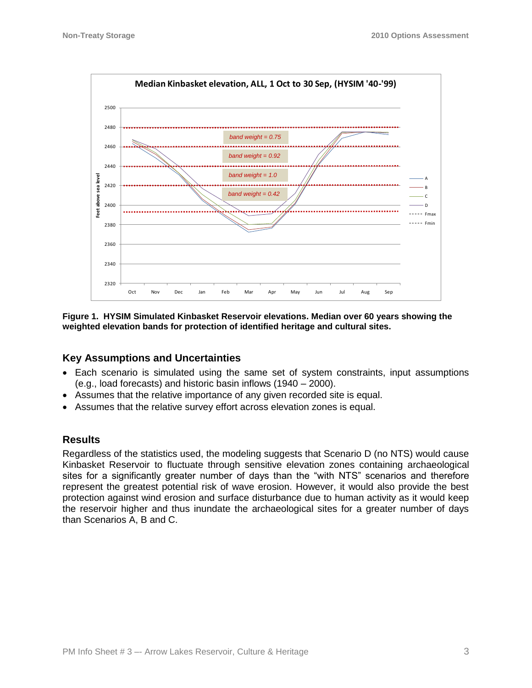

**Figure 1. HYSIM Simulated Kinbasket Reservoir elevations. Median over 60 years showing the weighted elevation bands for protection of identified heritage and cultural sites.**

### **Key Assumptions and Uncertainties**

- Each scenario is simulated using the same set of system constraints, input assumptions (e.g., load forecasts) and historic basin inflows (1940 – 2000).
- Assumes that the relative importance of any given recorded site is equal.
- Assumes that the relative survey effort across elevation zones is equal.

### **Results**

Regardless of the statistics used, the modeling suggests that Scenario D (no NTS) would cause Kinbasket Reservoir to fluctuate through sensitive elevation zones containing archaeological sites for a significantly greater number of days than the "with NTS" scenarios and therefore represent the greatest potential risk of wave erosion. However, it would also provide the best protection against wind erosion and surface disturbance due to human activity as it would keep the reservoir higher and thus inundate the archaeological sites for a greater number of days than Scenarios A, B and C.